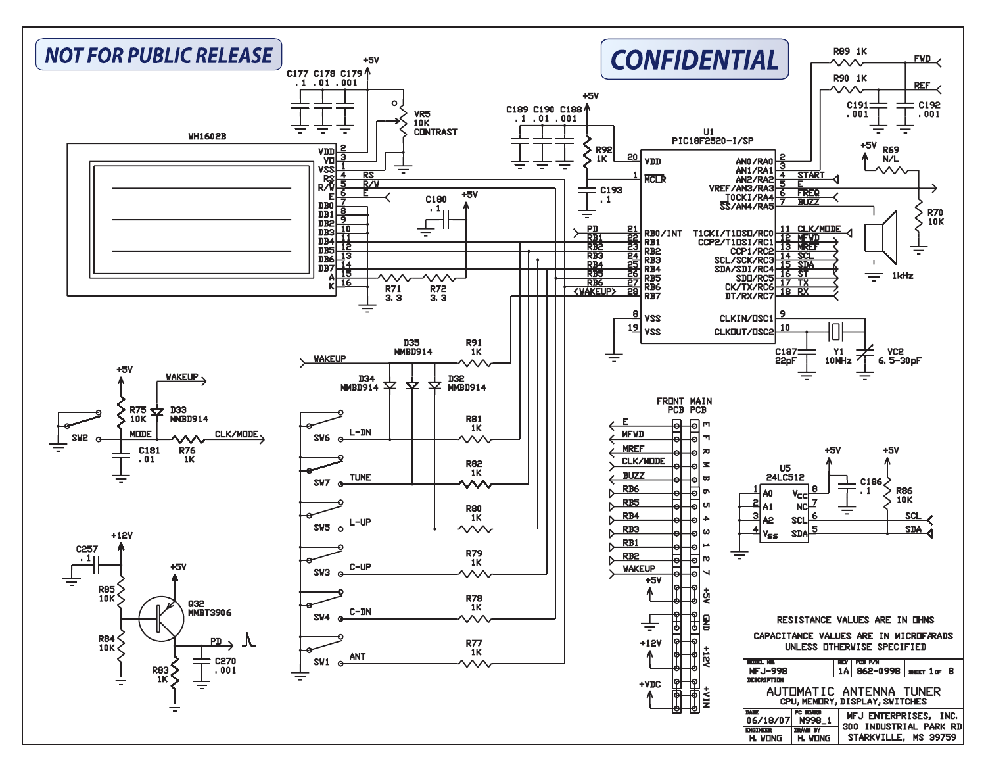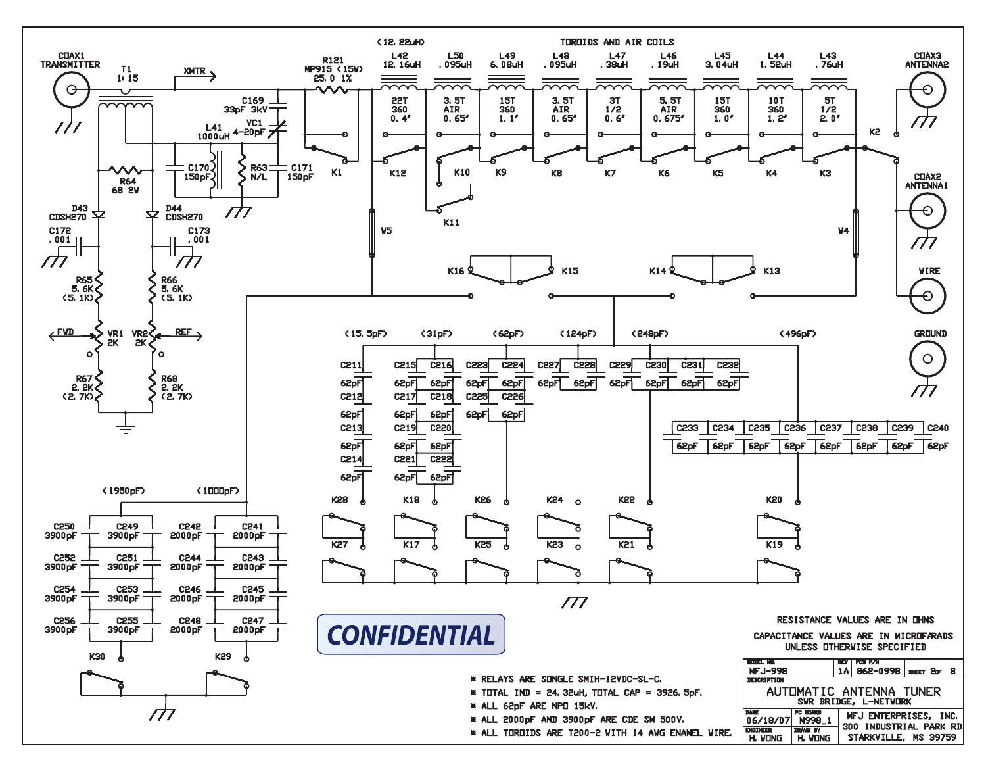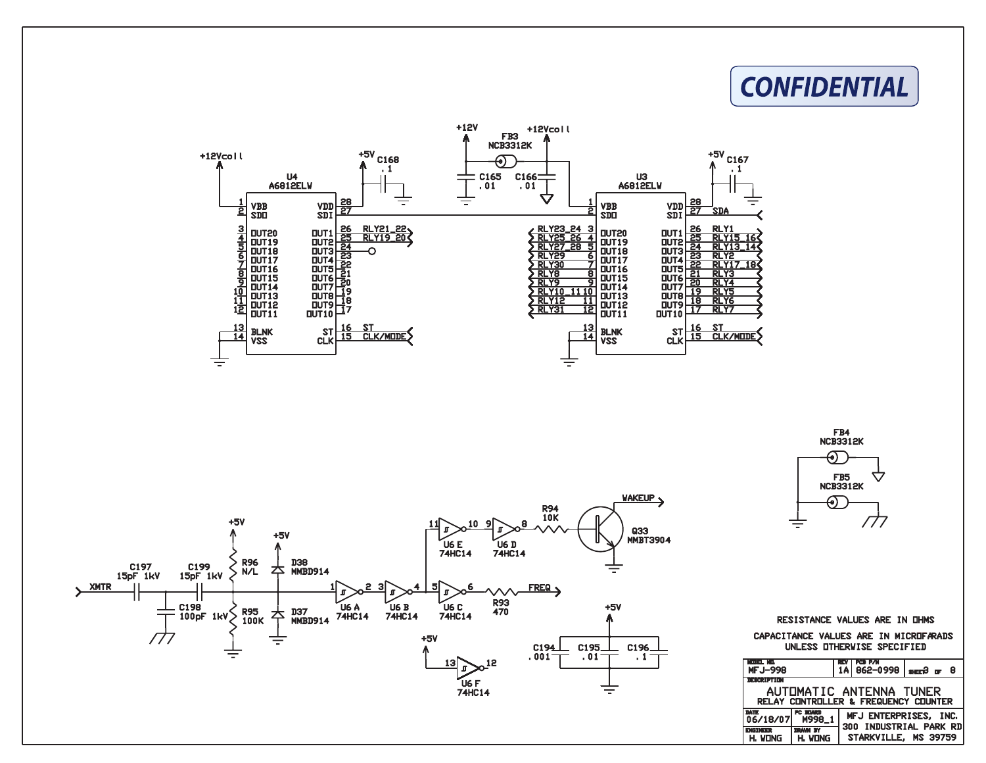

| CAPACITANCE VALUES ARE IN MICROFARADS<br>UNLESS OTHERWISE SPECIFIED |                           |       |                              |                                                |
|---------------------------------------------------------------------|---------------------------|-------|------------------------------|------------------------------------------------|
| man ku<br><b>MFJ-998</b>                                            |                           | REV I | <b>I PCB P/N</b><br>862-0998 | lseen3 pr 8                                    |
| казандын т                                                          |                           |       |                              |                                                |
| AUTOMATIC ANTENNA TUNER<br>RELAY CONTROLLER & FREQUENCY COUNTER     |                           |       |                              |                                                |
| DATE<br>06/18/07                                                    | PC STARS<br>M998_1        |       |                              | MFJ ENTERPRISES, INC.                          |
| <b>ENGINEER</b><br>H. VONG                                          | <b>MAIN IY</b><br>H. VONG |       |                              | 300 INDUSTRIAL PARK RD<br>STARKVILLE, MS 39759 |

RESISTANCE VALUES ARE IN OHMS







## **CONFIDENTIAL**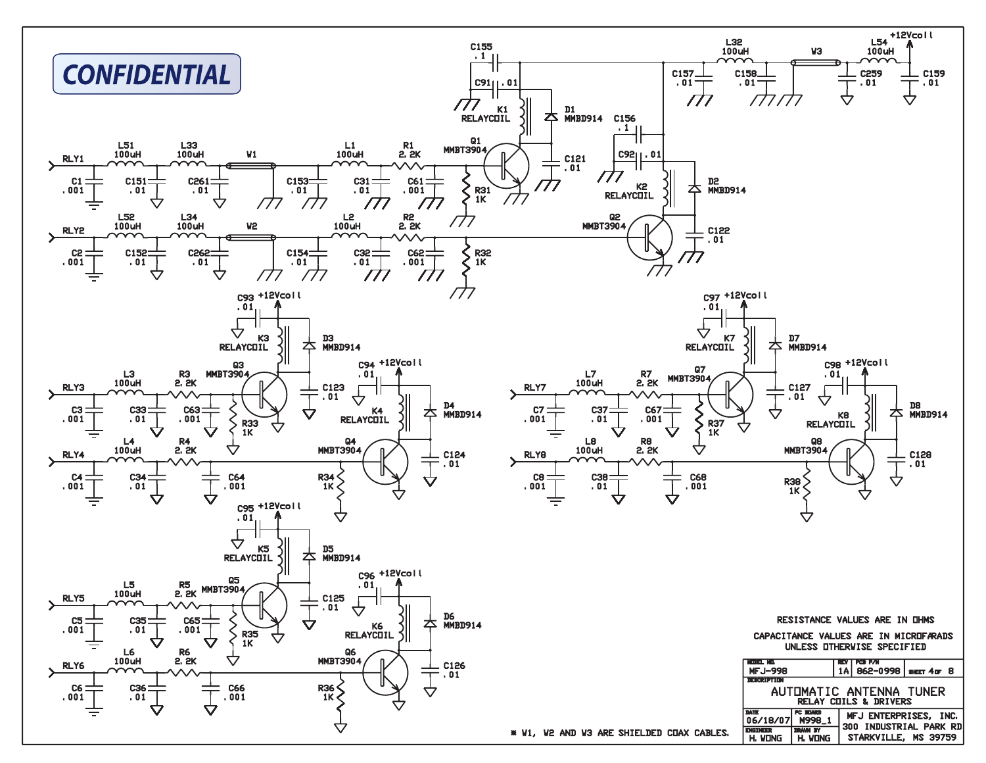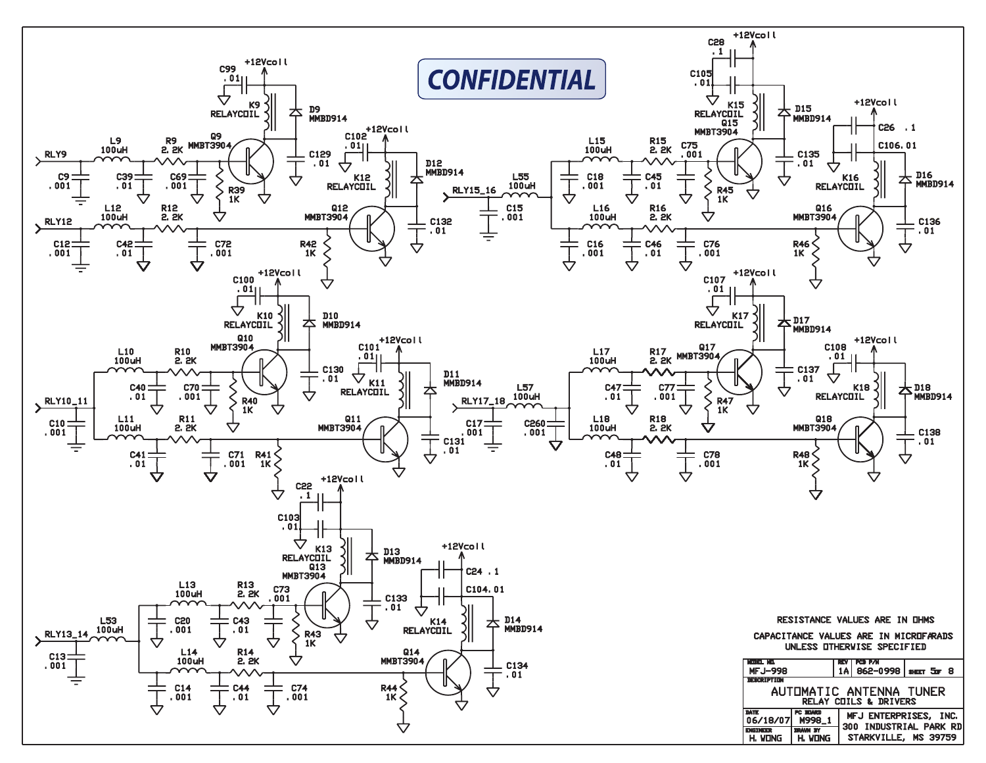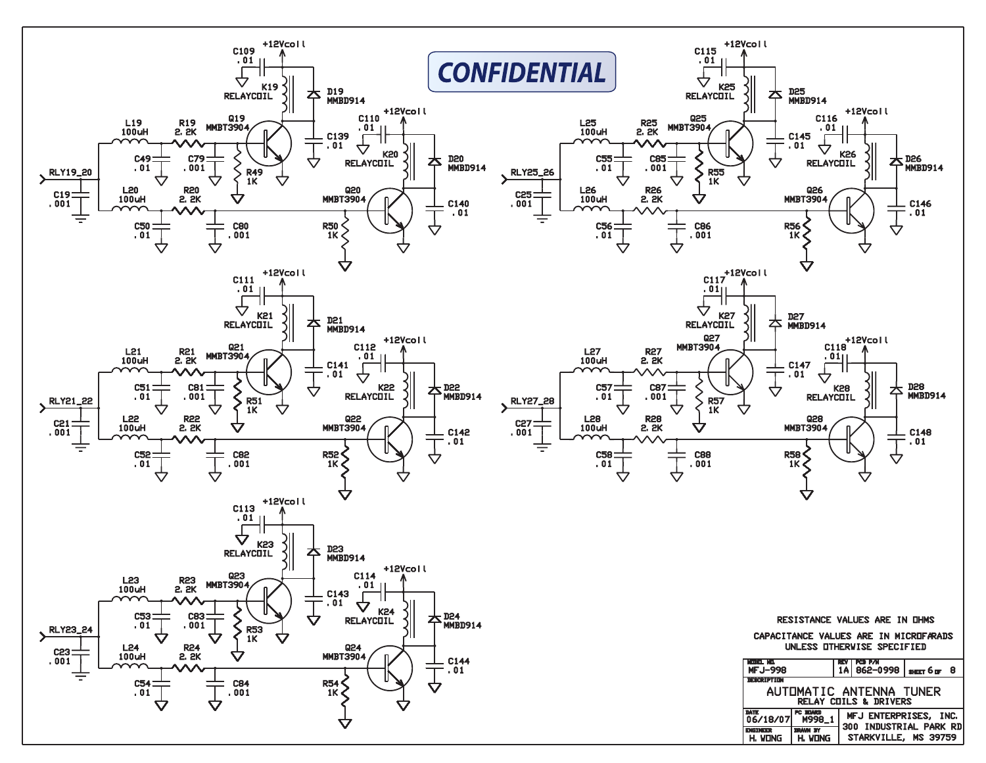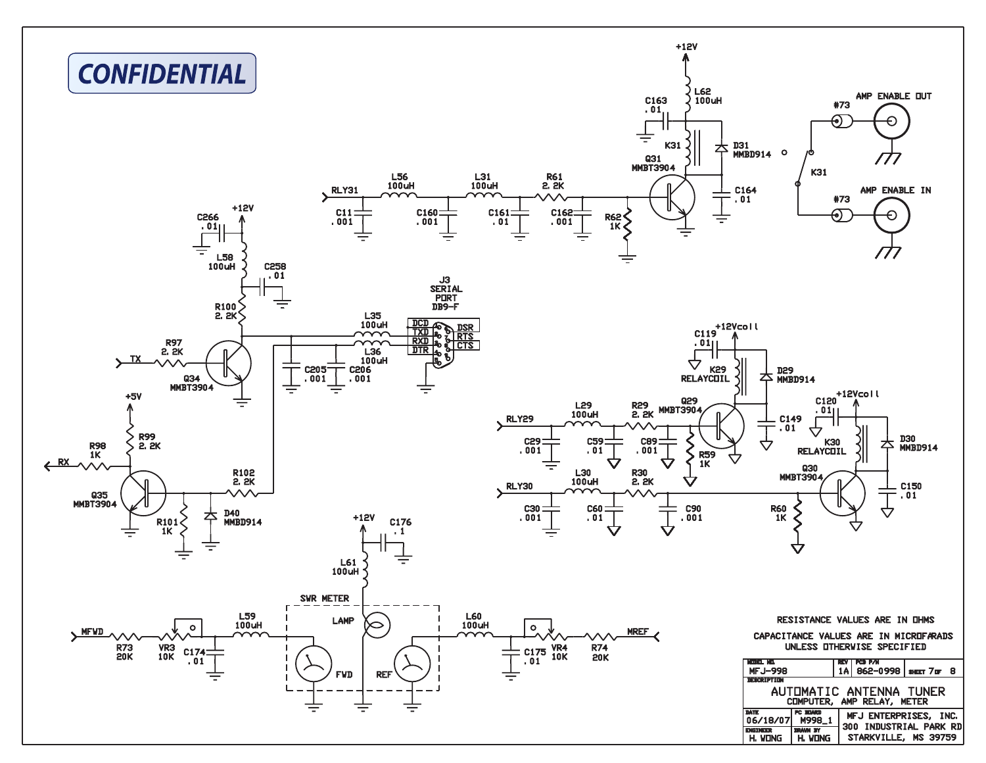